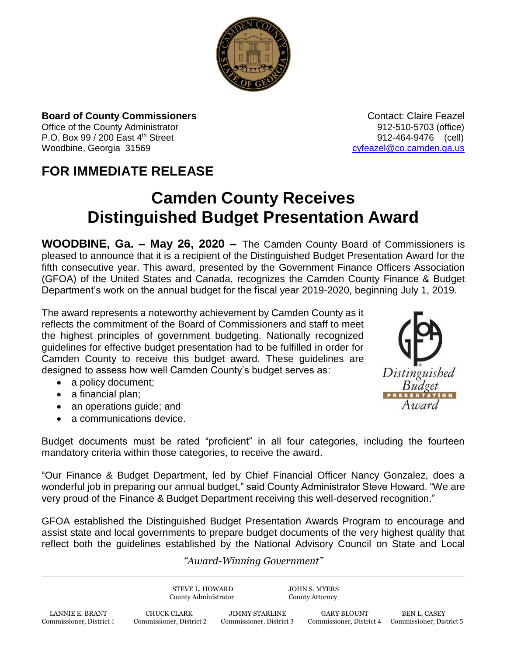

## **Board of County Commissioners Contact: Claire Feazel Contact: Claire Feazel**

P.O. Box 99 / 200 East 4<sup>th</sup> Street 912-464-9476 (cell) Woodbine, Georgia 31569 [cyfeazel@co.camden.ga.us](mailto:cyfeazel@co.camden.ga.us)

Office of the County Administrator **912-510-5703** (office)

## **FOR IMMEDIATE RELEASE**

## **Camden County Receives Distinguished Budget Presentation Award**

**WOODBINE, Ga. – May 26, 2020 –** The Camden County Board of Commissioners is pleased to announce that it is a recipient of the Distinguished Budget Presentation Award for the fifth consecutive year. This award, presented by the Government Finance Officers Association (GFOA) of the United States and Canada, recognizes the Camden County Finance & Budget Department's work on the annual budget for the fiscal year 2019-2020, beginning July 1, 2019.

The award represents a noteworthy achievement by Camden County as it reflects the commitment of the Board of Commissioners and staff to meet the highest principles of government budgeting. Nationally recognized guidelines for effective budget presentation had to be fulfilled in order for Camden County to receive this budget award. These guidelines are designed to assess how well Camden County's budget serves as:

- a policy document;
- a financial plan;
- an operations guide; and
- a communications device.

Budget documents must be rated "proficient" in all four categories, including the fourteen mandatory criteria within those categories, to receive the award.

"Our Finance & Budget Department, led by Chief Financial Officer Nancy Gonzalez, does a wonderful job in preparing our annual budget," said County Administrator Steve Howard. "We are very proud of the Finance & Budget Department receiving this well-deserved recognition."

GFOA established the Distinguished Budget Presentation Awards Program to encourage and assist state and local governments to prepare budget documents of the very highest quality that reflect both the guidelines established by the National Advisory Council on State and Local

## *"Award-Winning Government"*

STEVE L. HOWARD JOHN S. MYERS County Administrator County Attorney LANNIE E. BRANT CHUCK CLARK JIMMY STARLINE GARY BLOUNT BEN L. CASEY Commissioner, District 1 Commissioner, District 2 Commissioner, District 3 Commissioner, District 4 Commissioner, District 1 Commissioner, District 4 Commissioner, District 5